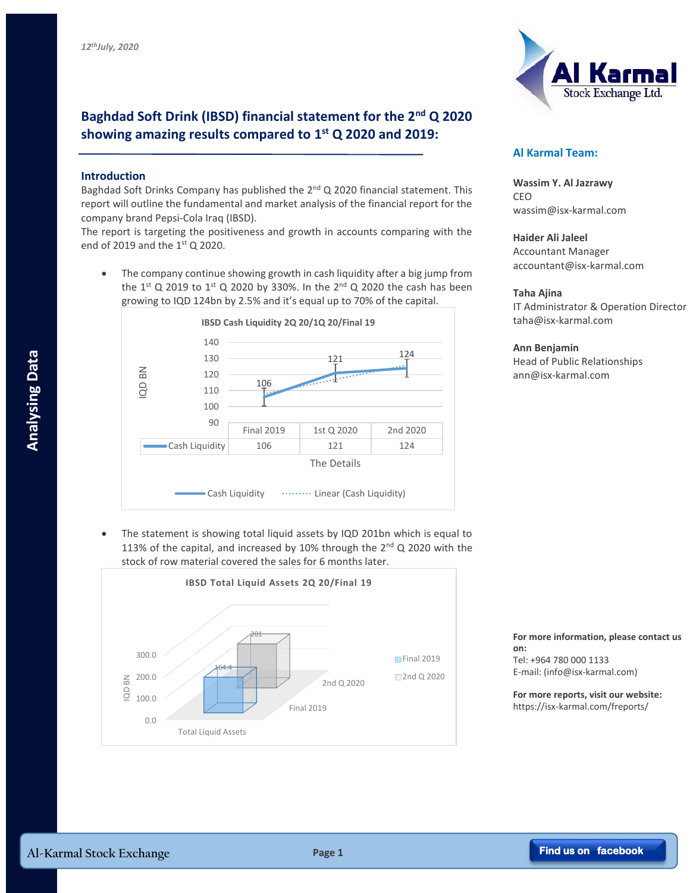# **Baghdad Soft Drink (IBSD) financial statement for the 2nd Q 2020 showing amazing results compared to 1 st Q 2020 and 2019:**

### **Introduction**

Baghdad Soft Drinks Company has published the  $2^{nd}$  Q 2020 financial statement. This report will outline the fundamental and market analysis of the financial report for the company brand Pepsi-Cola Iraq (IBSD).

The report is targeting the positiveness and growth in accounts comparing with the end of 2019 and the  $1<sup>st</sup>$  O 2020.

 The company continue showing growth in cash liquidity after a big jump from the  $1^{st}$  Q 2019 to  $1^{st}$  Q 2020 by 330%. In the  $2^{nd}$  Q 2020 the cash has been growing to IQD 124bn by 2.5% and it's equal up to 70% of the capital.



 The statement is showing total liquid assets by IQD 201bn which is equal to 113% of the capital, and increased by 10% through the  $2^{nd}$  Q 2020 with the stock of row material covered the sales for 6 months later.





## **Al Karmal Team:**

**Wassim Y. Al Jazrawy** CEO wassim@isx-karmal.com

**Haider Ali Jaleel** Accountant Manager accountant@isx-karmal.com

#### **Taha Ajina**

IT Administrator & Operation Director taha@isx-karmal.com

**Ann Benjamin**

Head of Public Relationships ann@isx-karmal.com

#### **For more information, please contact us on:** Tel: +964 780 000 1133

E-mail: (info@isx-karmal.com)

**For more reports, visit our website:** https://isx-karmal.com/freports/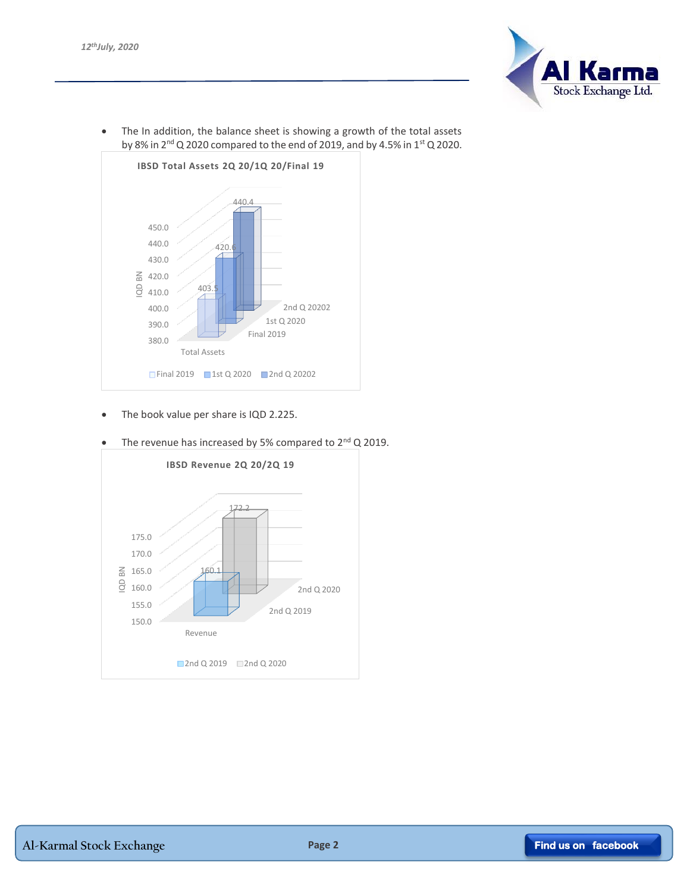

 The In addition, the balance sheet is showing a growth of the total assets by 8% in 2<sup>nd</sup> Q 2020 compared to the end of 2019, and by 4.5% in 1<sup>st</sup> Q 2020.



• The book value per share is IQD 2.225.



The revenue has increased by 5% compared to  $2<sup>nd</sup> Q 2019$ .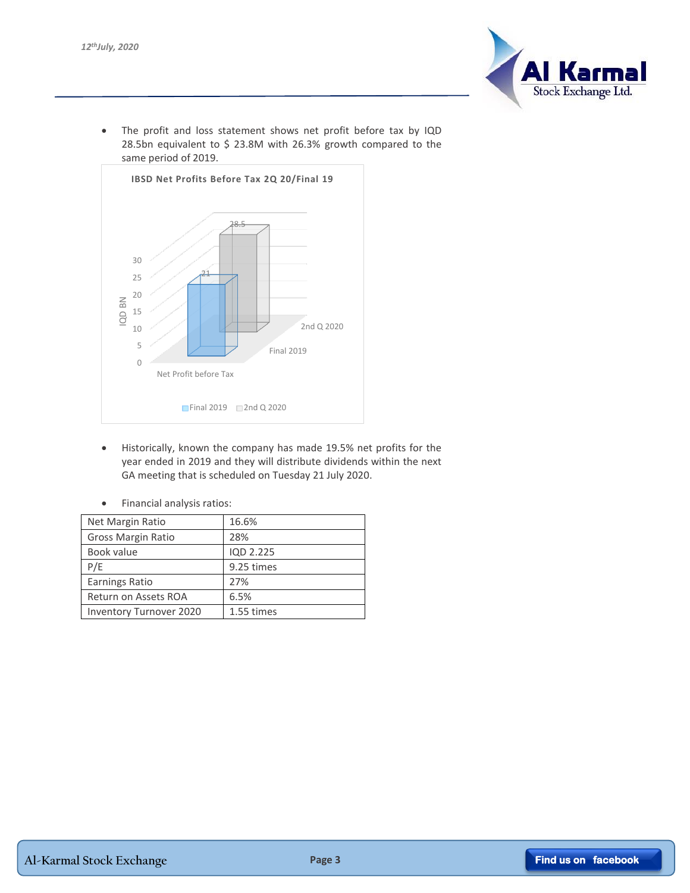

• The profit and loss statement shows net profit before tax by IQD 28.5bn equivalent to \$ 23.8M with 26.3% growth compared to the same period of 2019.



 Historically, known the company has made 19.5% net profits for the year ended in 2019 and they will distribute dividends within the next GA meeting that is scheduled on Tuesday 21 July 2020.

| Net Margin Ratio               | 16.6%      |
|--------------------------------|------------|
| Gross Margin Ratio             | 28%        |
| Book value                     | IQD 2.225  |
| P/E                            | 9.25 times |
| <b>Earnings Ratio</b>          | 27%        |
| Return on Assets ROA           | 6.5%       |
| <b>Inventory Turnover 2020</b> | 1.55 times |

Financial analysis ratios: